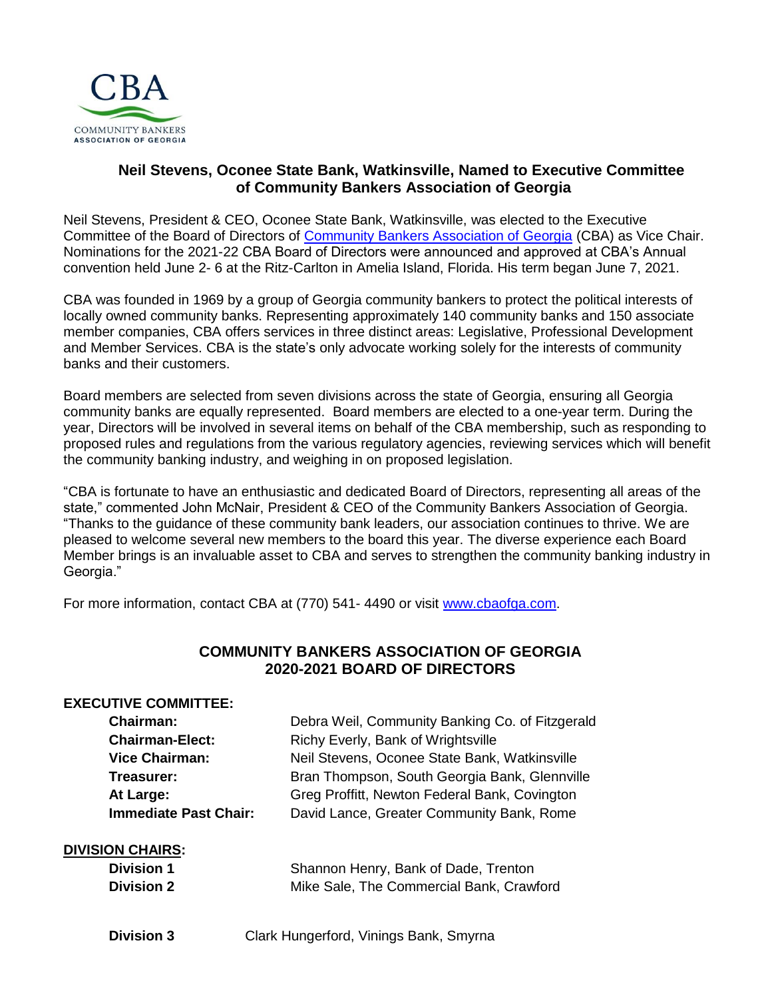

## **Neil Stevens, Oconee State Bank, Watkinsville, Named to Executive Committee of Community Bankers Association of Georgia**

Neil Stevens, President & CEO, Oconee State Bank, Watkinsville, was elected to the Executive Committee of the Board of Directors of [Community Bankers Association of Georgia](http://www.cbaofga.com/) (CBA) as Vice Chair. Nominations for the 2021-22 CBA Board of Directors were announced and approved at CBA's Annual convention held June 2- 6 at the Ritz-Carlton in Amelia Island, Florida. His term began June 7, 2021.

CBA was founded in 1969 by a group of Georgia community bankers to protect the political interests of locally owned community banks. Representing approximately 140 community banks and 150 associate member companies, CBA offers services in three distinct areas: Legislative, Professional Development and Member Services. CBA is the state's only advocate working solely for the interests of community banks and their customers.

Board members are selected from seven divisions across the state of Georgia, ensuring all Georgia community banks are equally represented. Board members are elected to a one-year term. During the year, Directors will be involved in several items on behalf of the CBA membership, such as responding to proposed rules and regulations from the various regulatory agencies, reviewing services which will benefit the community banking industry, and weighing in on proposed legislation.

"CBA is fortunate to have an enthusiastic and dedicated Board of Directors, representing all areas of the state," commented John McNair, President & CEO of the Community Bankers Association of Georgia. "Thanks to the guidance of these community bank leaders, our association continues to thrive. We are pleased to welcome several new members to the board this year. The diverse experience each Board Member brings is an invaluable asset to CBA and serves to strengthen the community banking industry in Georgia."

For more information, contact CBA at (770) 541-4490 or visit [www.cbaofga.com.](http://www.cbaofga.com/)

# **COMMUNITY BANKERS ASSOCIATION OF GEORGIA 2020-2021 BOARD OF DIRECTORS**

## **EXECUTIVE COMMITTEE:**

| <b>Chairman:</b>             | Debra Weil, Community Banking Co. of Fitzgerald |
|------------------------------|-------------------------------------------------|
| <b>Chairman-Elect:</b>       | Richy Everly, Bank of Wrightsville              |
| <b>Vice Chairman:</b>        | Neil Stevens, Oconee State Bank, Watkinsville   |
| Treasurer:                   | Bran Thompson, South Georgia Bank, Glennville   |
| At Large:                    | Greg Proffitt, Newton Federal Bank, Covington   |
| <b>Immediate Past Chair:</b> | David Lance, Greater Community Bank, Rome       |
|                              |                                                 |

#### **DIVISION CHAIRS:**

| <b>Division 1</b> | Shannon Henry, Bank of Dade, Trenton     |
|-------------------|------------------------------------------|
| <b>Division 2</b> | Mike Sale, The Commercial Bank, Crawford |